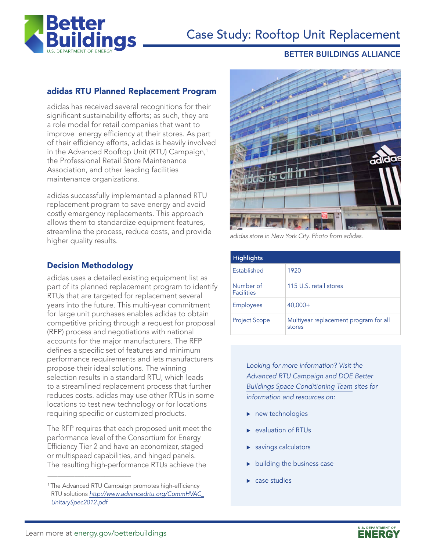

# Case Study: Rooftop Unit Replacement

#### BETTER BUILDINGS ALLIANCE

## adidas RTU Planned Replacement Program

adidas has received several recognitions for their significant sustainability efforts; as such, they are a role model for retail companies that want to improve energy efficiency at their stores. As part of their efficiency efforts, adidas is heavily involved in the Advanced Rooftop Unit (RTU) Campaign,<sup>1</sup> the Professional Retail Store Maintenance Association, and other leading facilities maintenance organizations.

adidas successfully implemented a planned RTU replacement program to save energy and avoid costly emergency replacements. This approach allows them to standardize equipment features, streamline the process, reduce costs, and provide higher quality results.

## Decision Methodology

adidas uses a detailed existing equipment list as part of its planned replacement program to identify RTUs that are targeted for replacement several years into the future. This multi-year commitment for large unit purchases enables adidas to obtain competitive pricing through a request for proposal (RFP) process and negotiations with national accounts for the major manufacturers. The RFP defines a specific set of features and minimum performance requirements and lets manufacturers propose their ideal solutions. The winning selection results in a standard RTU, which leads to a streamlined replacement process that further reduces costs. adidas may use other RTUs in some locations to test new technology or for locations requiring specific or customized products.

The RFP requires that each proposed unit meet the performance level of the Consortium for Energy Efficiency Tier 2 and have an economizer, staged or multispeed capabilities, and hinged panels. The resulting high-performance RTUs achieve the



*adidas store in New York City. Photo from adidas.*

| <b>Highlights</b>              |                                                 |
|--------------------------------|-------------------------------------------------|
| Established                    | 1920                                            |
| Number of<br><b>Facilities</b> | 115 U.S. retail stores                          |
| <b>Employees</b>               | $40,000+$                                       |
| <b>Project Scope</b>           | Multiyear replacement program for all<br>stores |

*Looking for more information? Visit the [Advanced RTU Campaign](http://www.advancedrtu.org/) and [DOE Better](http://www4.eere.energy.gov/alliance/activities/technology-solutions-teams/space-conditioning/rtu)  [Buildings Space Conditioning Team](http://www4.eere.energy.gov/alliance/activities/technology-solutions-teams/space-conditioning/rtu) sites for information and resources on:*

- $\blacktriangleright$  new technologies
- evaluation of RTUs
- savings calculators
- building the business case
- case studies

\_\_\_\_\_\_\_\_\_\_\_\_\_\_\_\_\_\_\_\_\_\_\_\_\_

<sup>&</sup>lt;sup>1</sup>The Advanced RTU Campaign promotes high-efficiency RTU solutions *[http://www.advancedrtu.org/CommHVAC\\_](http://www.advancedrtu.org/CommHVAC_UnitarySpec2012.pdf) [UnitarySpec2012.pdf](http://www.advancedrtu.org/CommHVAC_UnitarySpec2012.pdf)*